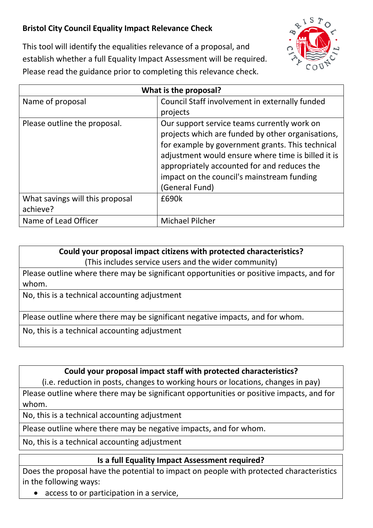## **Bristol City Council Equality Impact Relevance Check**



This tool will identify the equalities relevance of a proposal, and establish whether a full Equality Impact Assessment will be required. Please read the guidance prior to completing this relevance check.

| What is the proposal?                       |                                                                                                                                                                                                                                                                                                                           |
|---------------------------------------------|---------------------------------------------------------------------------------------------------------------------------------------------------------------------------------------------------------------------------------------------------------------------------------------------------------------------------|
| Name of proposal                            | Council Staff involvement in externally funded<br>projects                                                                                                                                                                                                                                                                |
| Please outline the proposal.                | Our support service teams currently work on<br>projects which are funded by other organisations,<br>for example by government grants. This technical<br>adjustment would ensure where time is billed it is<br>appropriately accounted for and reduces the<br>impact on the council's mainstream funding<br>(General Fund) |
| What savings will this proposal<br>achieve? | £690k                                                                                                                                                                                                                                                                                                                     |
| Name of Lead Officer                        | <b>Michael Pilcher</b>                                                                                                                                                                                                                                                                                                    |

## **Could your proposal impact citizens with protected characteristics?** (This includes service users and the wider community)

Please outline where there may be significant opportunities or positive impacts, and for whom.

No, this is a technical accounting adjustment

Please outline where there may be significant negative impacts, and for whom.

No, this is a technical accounting adjustment

## **Could your proposal impact staff with protected characteristics?**

(i.e. reduction in posts, changes to working hours or locations, changes in pay)

Please outline where there may be significant opportunities or positive impacts, and for whom.

No, this is a technical accounting adjustment

Please outline where there may be negative impacts, and for whom.

No, this is a technical accounting adjustment

## **Is a full Equality Impact Assessment required?**

Does the proposal have the potential to impact on people with protected characteristics in the following ways:

• access to or participation in a service,